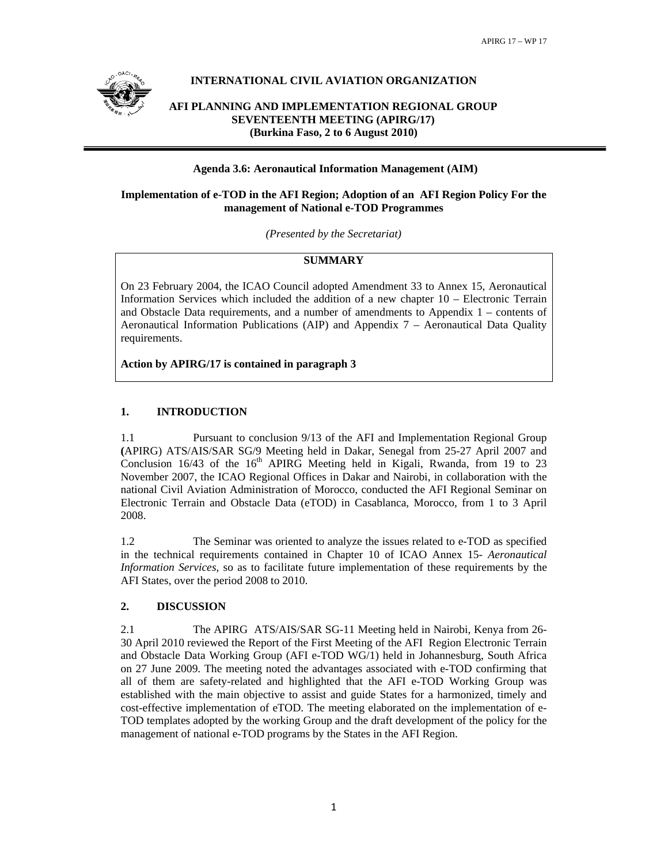

# **INTERNATIONAL CIVIL AVIATION ORGANIZATION**

**AFI PLANNING AND IMPLEMENTATION REGIONAL GROUP SEVENTEENTH MEETING (APIRG/17) (Burkina Faso, 2 to 6 August 2010)** 

## **Agenda 3.6: Aeronautical Information Management (AIM)**

## **Implementation of e-TOD in the AFI Region; Adoption of an AFI Region Policy For the management of National e-TOD Programmes**

*(Presented by the Secretariat)* 

## **SUMMARY**

On 23 February 2004, the ICAO Council adopted Amendment 33 to Annex 15, Aeronautical Information Services which included the addition of a new chapter 10 – Electronic Terrain and Obstacle Data requirements, and a number of amendments to Appendix 1 – contents of Aeronautical Information Publications (AIP) and Appendix 7 – Aeronautical Data Quality requirements.

**Action by APIRG/17 is contained in paragraph 3** 

# **1. INTRODUCTION**

1.1 Pursuant to conclusion 9/13 of the AFI and Implementation Regional Group **(**APIRG) ATS/AIS/SAR SG/9 Meeting held in Dakar, Senegal from 25-27 April 2007 and Conclusion  $16/43$  of the  $16<sup>th</sup>$  APIRG Meeting held in Kigali, Rwanda, from 19 to 23 November 2007, the ICAO Regional Offices in Dakar and Nairobi, in collaboration with the national Civil Aviation Administration of Morocco, conducted the AFI Regional Seminar on Electronic Terrain and Obstacle Data (eTOD) in Casablanca, Morocco, from 1 to 3 April 2008.

1.2 The Seminar was oriented to analyze the issues related to e-TOD as specified in the technical requirements contained in Chapter 10 of ICAO Annex 15- *Aeronautical Information Services*, so as to facilitate future implementation of these requirements by the AFI States, over the period 2008 to 2010.

# **2. DISCUSSION**

2.1The APIRG ATS/AIS/SAR SG-11 Meeting held in Nairobi, Kenya from 26- 30 April 2010 reviewed the Report of the First Meeting of the AFI Region Electronic Terrain and Obstacle Data Working Group (AFI e-TOD WG/1) held in Johannesburg, South Africa on 27 June 2009. The meeting noted the advantages associated with e-TOD confirming that all of them are safety-related and highlighted that the AFI e-TOD Working Group was established with the main objective to assist and guide States for a harmonized, timely and cost-effective implementation of eTOD. The meeting elaborated on the implementation of e-TOD templates adopted by the working Group and the draft development of the policy for the management of national e-TOD programs by the States in the AFI Region.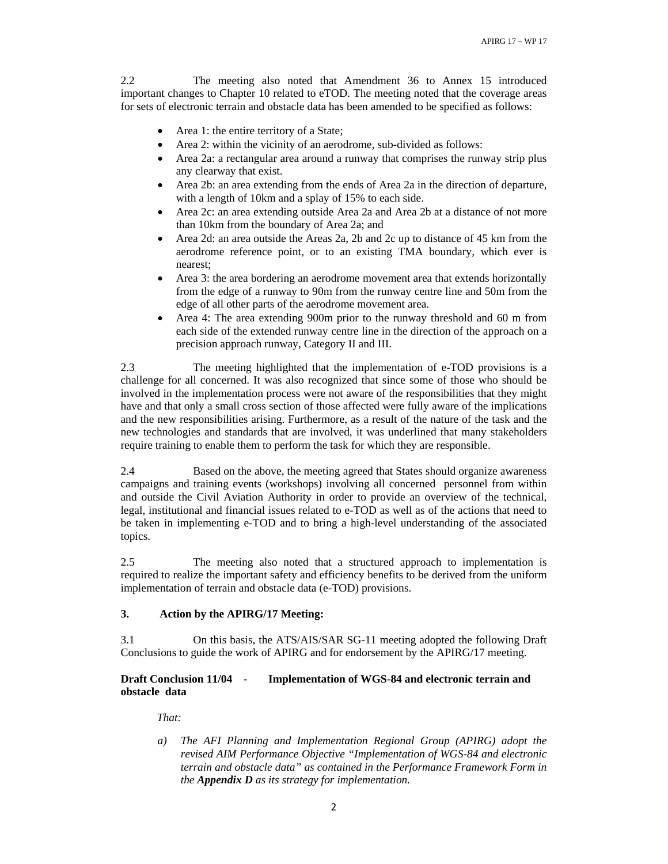2.2The meeting also noted that Amendment 36 to Annex 15 introduced important changes to Chapter 10 related to eTOD. The meeting noted that the coverage areas for sets of electronic terrain and obstacle data has been amended to be specified as follows:

- Area 1: the entire territory of a State;
- Area 2: within the vicinity of an aerodrome, sub-divided as follows:
- Area 2a: a rectangular area around a runway that comprises the runway strip plus any clearway that exist.
- Area 2b: an area extending from the ends of Area 2a in the direction of departure, with a length of 10km and a splay of 15% to each side.
- Area 2c: an area extending outside Area 2a and Area 2b at a distance of not more than 10km from the boundary of Area 2a; and
- Area 2d: an area outside the Areas 2a, 2b and 2c up to distance of 45 km from the aerodrome reference point, or to an existing TMA boundary, which ever is nearest;
- Area 3: the area bordering an aerodrome movement area that extends horizontally from the edge of a runway to 90m from the runway centre line and 50m from the edge of all other parts of the aerodrome movement area.
- Area 4: The area extending 900m prior to the runway threshold and 60 m from each side of the extended runway centre line in the direction of the approach on a precision approach runway, Category II and III.

2.3The meeting highlighted that the implementation of e-TOD provisions is a challenge for all concerned. It was also recognized that since some of those who should be involved in the implementation process were not aware of the responsibilities that they might have and that only a small cross section of those affected were fully aware of the implications and the new responsibilities arising. Furthermore, as a result of the nature of the task and the new technologies and standards that are involved, it was underlined that many stakeholders require training to enable them to perform the task for which they are responsible.

2.4 Based on the above, the meeting agreed that States should organize awareness campaigns and training events (workshops) involving all concerned personnel from within and outside the Civil Aviation Authority in order to provide an overview of the technical, legal, institutional and financial issues related to e-TOD as well as of the actions that need to be taken in implementing e-TOD and to bring a high-level understanding of the associated topics.

2.5The meeting also noted that a structured approach to implementation is required to realize the important safety and efficiency benefits to be derived from the uniform implementation of terrain and obstacle data (e-TOD) provisions.

## **3. Action by the APIRG/17 Meeting:**

3.1On this basis, the ATS/AIS/SAR SG-11 meeting adopted the following Draft Conclusions to guide the work of APIRG and for endorsement by the APIRG/17 meeting.

## **Draft Conclusion 11/04 - Implementation of WGS-84 and electronic terrain and obstacle data**

*That:* 

*a) The AFI Planning and Implementation Regional Group (APIRG) adopt the revised AIM Performance Objective "Implementation of WGS-84 and electronic terrain and obstacle data" as contained in the Performance Framework Form in the Appendix D as its strategy for implementation.*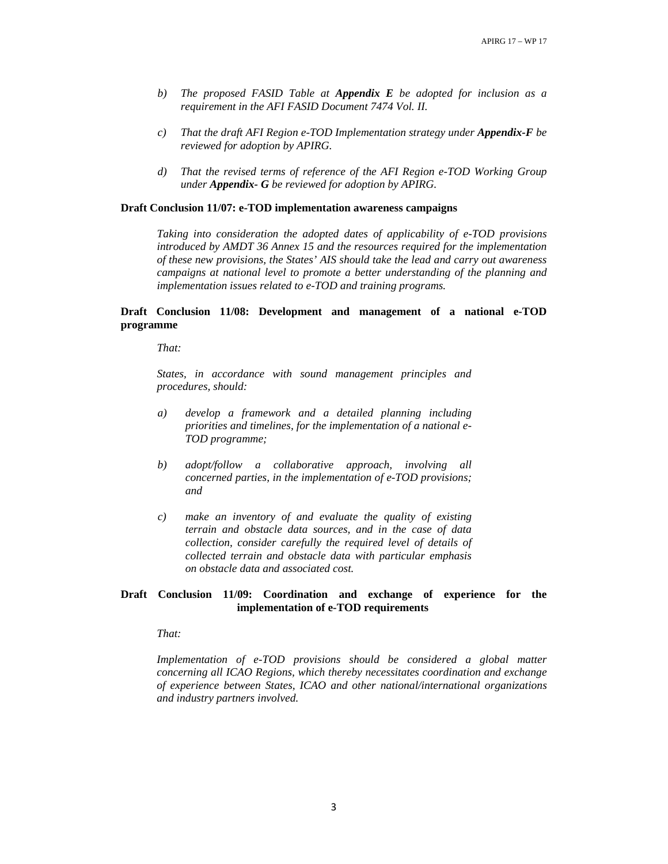- *b) The proposed FASID Table at Appendix E be adopted for inclusion as a requirement in the AFI FASID Document 7474 Vol. II.*
- *c) That the draft AFI Region e-TOD Implementation strategy under Appendix-F be reviewed for adoption by APIRG.*
- *d) That the revised terms of reference of the AFI Region e-TOD Working Group under Appendix- G be reviewed for adoption by APIRG.*

#### **Draft Conclusion 11/07: e-TOD implementation awareness campaigns**

*Taking into consideration the adopted dates of applicability of e-TOD provisions introduced by AMDT 36 Annex 15 and the resources required for the implementation of these new provisions, the States' AIS should take the lead and carry out awareness campaigns at national level to promote a better understanding of the planning and implementation issues related to e-TOD and training programs.* 

## **Draft Conclusion 11/08: Development and management of a national e-TOD programme**

*That:* 

*States, in accordance with sound management principles and procedures, should:* 

- *a) develop a framework and a detailed planning including priorities and timelines, for the implementation of a national e-TOD programme;*
- *b) adopt/follow a collaborative approach, involving all concerned parties, in the implementation of e-TOD provisions; and*
- *c) make an inventory of and evaluate the quality of existing terrain and obstacle data sources, and in the case of data collection, consider carefully the required level of details of collected terrain and obstacle data with particular emphasis on obstacle data and associated cost.*

### **Draft Conclusion 11/09: Coordination and exchange of experience for the implementation of e-TOD requirements**

*That:* 

*Implementation of e-TOD provisions should be considered a global matter concerning all ICAO Regions, which thereby necessitates coordination and exchange of experience between States, ICAO and other national/international organizations and industry partners involved.*